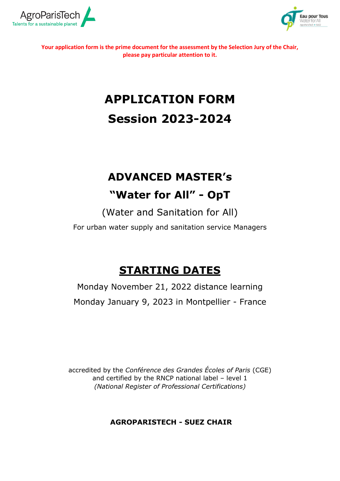



**Your application form is the prime document for the assessment by the Selection Jury of the Chair, please pay particular attention to it.**

# **APPLICATION FORM Session 2023-2024**

# **ADVANCED MASTER's**

## **"Water for All" - OpT**

(Water and Sanitation for All)

For urban water supply and sanitation service Managers

## **STARTING DATES**

Monday November 21, 2022 distance learning Monday January 9, 2023 in Montpellier - France

accredited by the *Conférence des Grandes Écoles of Paris* (CGE) and certified by the RNCP national label – level 1 *(National Register of Professional Certifications)*

**AGROPARISTECH - SUEZ CHAIR**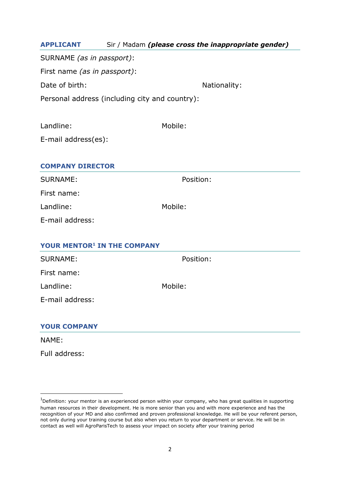| <b>APPLICANT</b>                     | Sir / Madam (please cross the inappropriate gender) |              |  |
|--------------------------------------|-----------------------------------------------------|--------------|--|
| SURNAME (as in passport):            |                                                     |              |  |
| First name <i>(as in passport)</i> : |                                                     |              |  |
| Date of birth:                       |                                                     | Nationality: |  |
|                                      | Personal address (including city and country):      |              |  |

| Landline:           | Mobile: |
|---------------------|---------|
| E-mail address(es): |         |
|                     |         |

## **COMPANY DIRECTOR**

| <b>SURNAME:</b> | Position: |
|-----------------|-----------|
|-----------------|-----------|

First name:

Landline: Mobile:

E-mail address:

| YOUR MENTOR <sup>1</sup> IN THE COMPANY |           |  |  |
|-----------------------------------------|-----------|--|--|
| <b>SURNAME:</b>                         | Position: |  |  |
| First name:                             |           |  |  |
| Landline:                               | Mobile:   |  |  |
| E-mail address:                         |           |  |  |
|                                         |           |  |  |

## **YOUR COMPANY**

NAME:

1

Full address:

 $1$ Definition: your mentor is an experienced person within your company, who has great qualities in supporting human resources in their development. He is more senior than you and with more experience and has the recognition of your MD and also confirmed and proven professional knowledge. He will be your referent person, not only during your training course but also when you return to your department or service. He will be in contact as well will AgroParisTech to assess your impact on society after your training period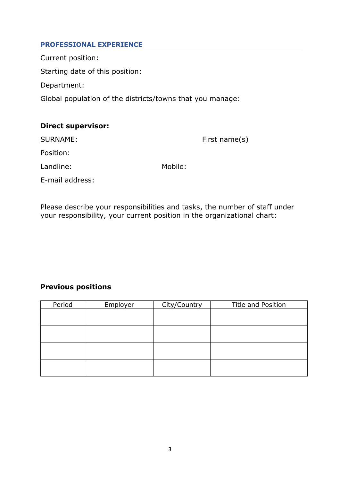## **PROFESSIONAL EXPERIENCE**

Current position:

Starting date of this position:

Department:

Global population of the districts/towns that you manage:

| <b>Direct supervisor:</b> |         |                  |
|---------------------------|---------|------------------|
| SURNAME:                  |         | First name $(s)$ |
| Position:                 |         |                  |
| Landline:                 | Mobile: |                  |
| E-mail address:           |         |                  |

Please describe your responsibilities and tasks, the number of staff under your responsibility, your current position in the organizational chart:

## **Previous positions**

| Period | Employer | City/Country | <b>Title and Position</b> |
|--------|----------|--------------|---------------------------|
|        |          |              |                           |
|        |          |              |                           |
|        |          |              |                           |
|        |          |              |                           |
|        |          |              |                           |
|        |          |              |                           |
|        |          |              |                           |
|        |          |              |                           |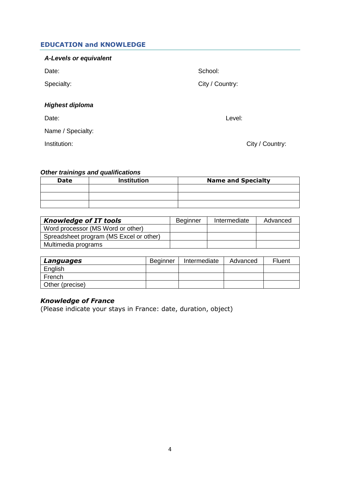## **EDUCATION and KNOWLEDGE**

#### *A-Levels or equivalent*

Date: School: School: School: School: School: School: School: School: School: School: School: School: School: School: School: School: School: School: School: School: School: School: School: School: School: School: School:

Specialty: City / Country:

## *Highest diploma*

Date: Level:

Name / Specialty:

Institution: City / Country:

#### *Other trainings and qualifications*

| Date | <b>Institution</b> | <b>Name and Specialty</b> |  |  |
|------|--------------------|---------------------------|--|--|
|      |                    |                           |  |  |
|      |                    |                           |  |  |
|      |                    |                           |  |  |

| <b>Knowledge of IT tools</b>            | <b>Beginner</b> | Intermediate | Advanced |
|-----------------------------------------|-----------------|--------------|----------|
| Word processor (MS Word or other)       |                 |              |          |
| Spreadsheet program (MS Excel or other) |                 |              |          |
| Multimedia programs                     |                 |              |          |

| Languages       | <b>Beginner</b> | Intermediate | Advanced | <b>Fluent</b> |
|-----------------|-----------------|--------------|----------|---------------|
| English         |                 |              |          |               |
| French          |                 |              |          |               |
| Other (precise) |                 |              |          |               |

## *Knowledge of France*

(Please indicate your stays in France: date, duration, object)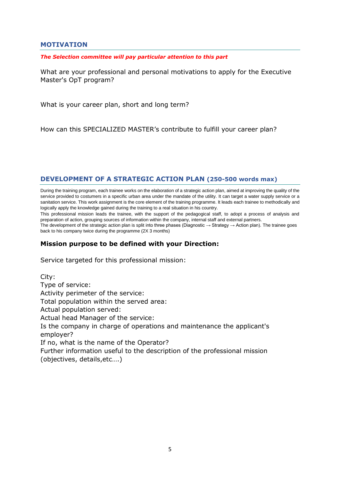#### **MOTIVATION**

#### *The Selection committee will pay particular attention to this part*

What are your professional and personal motivations to apply for the Executive Master's OpT program?

What is your career plan, short and long term?

How can this SPECIALIZED MASTER's contribute to fulfill your career plan?

## **DEVELOPMENT OF A STRATEGIC ACTION PLAN (250-500 words max)**

During the training program, each trainee works on the elaboration of a strategic action plan, aimed at improving the quality of the service provided to costumers in a specific urban area under the mandate of the utility. It can target a water supply service or a sanitation service. This work assignment is the core element of the training programme. It leads each trainee to methodically and logically apply the knowledge gained during the training to a real situation in his country.

This professional mission leads the trainee, with the support of the pedagogical staff, to adopt a process of analysis and preparation of action, grouping sources of information within the company, internal staff and external partners.

The development of the strategic action plan is split into three phases (Diagnostic → Strategy → Action plan). The trainee goes back to his company twice during the programme (2X 3 months)

#### **Mission purpose to be defined with your Direction:**

Service targeted for this professional mission:

City: Type of service: Activity perimeter of the service: Total population within the served area: Actual population served: Actual head Manager of the service: Is the company in charge of operations and maintenance the applicant's employer? If no, what is the name of the Operator? Further information useful to the description of the professional mission (objectives, details,etc….)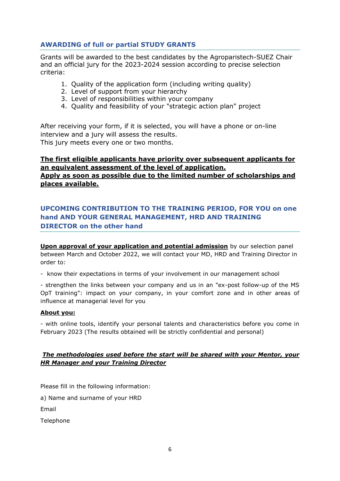## **AWARDING of full or partial STUDY GRANTS**

Grants will be awarded to the best candidates by the Agroparistech-SUEZ Chair and an official jury for the 2023-2024 session according to precise selection criteria:

- 1. Quality of the application form (including writing quality)
- 2. Level of support from your hierarchy
- 3. Level of responsibilities within your company
- 4. Quality and feasibility of your "strategic action plan" project

After receiving your form, if it is selected, you will have a phone or on-line interview and a jury will assess the results. This jury meets every one or two months.

## **The first eligible applicants have priority over subsequent applicants for an equivalent assessment of the level of application. Apply as soon as possible due to the limited number of scholarships and places available.**

## **UPCOMING CONTRIBUTION TO THE TRAINING PERIOD, FOR YOU on one hand AND YOUR GENERAL MANAGEMENT, HRD AND TRAINING DIRECTOR on the other hand**

**Upon approval of your application and potential admission** by our selection panel between March and October 2022, we will contact your MD, HRD and Training Director in order to:

- know their expectations in terms of your involvement in our management school

- strengthen the links between your company and us in an "ex-post follow-up of the MS OpT training": impact on your company, in your comfort zone and in other areas of influence at managerial level for you

## **About you:**

- with online tools, identify your personal talents and characteristics before you come in February 2023 (The results obtained will be strictly confidential and personal)

#### *The methodologies used before the start will be shared with your Mentor, your HR Manager and your Training Director*

Please fill in the following information:

a) Name and surname of your HRD

Email

Telephone